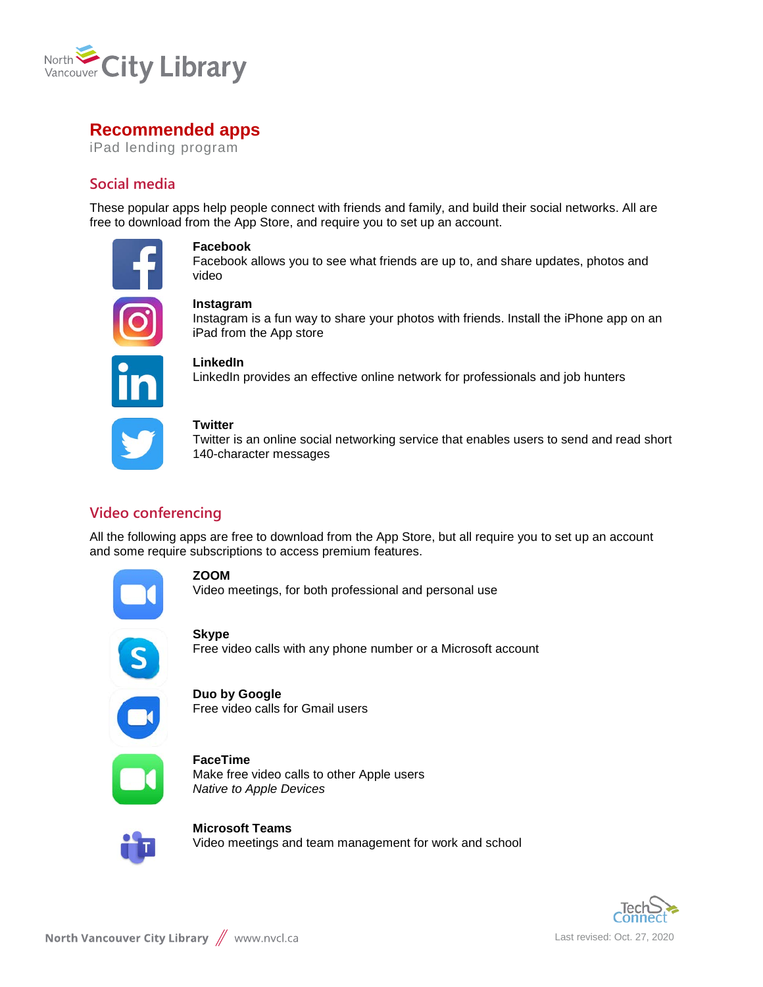

# **Recommended apps**

iPad lending program

# **Social media**

These popular apps help people connect with friends and family, and build their social networks. All are free to download from the App Store, and require you to set up an account.



## **Facebook**

Facebook allows you to see what friends are up to, and share updates, photos and video

### **Instagram**

Instagram is a fun way to share your photos with friends. Install the iPhone app on an iPad from the App store



### **LinkedIn**

LinkedIn provides an effective online network for professionals and job hunters

### **Twitter**

Twitter is an online social networking service that enables users to send and read short 140-character messages

# **Video conferencing**

All the following apps are free to download from the App Store, but all require you to set up an account and some require subscriptions to access premium features.



## **ZOOM**

Video meetings, for both professional and personal use



## **Skype**

Free video calls with any phone number or a Microsoft account



#### **Duo by Google** Free video calls for Gmail users



**FaceTime** Make free video calls to other Apple users *Native to Apple Devices*



**Microsoft Teams** Video meetings and team management for work and school

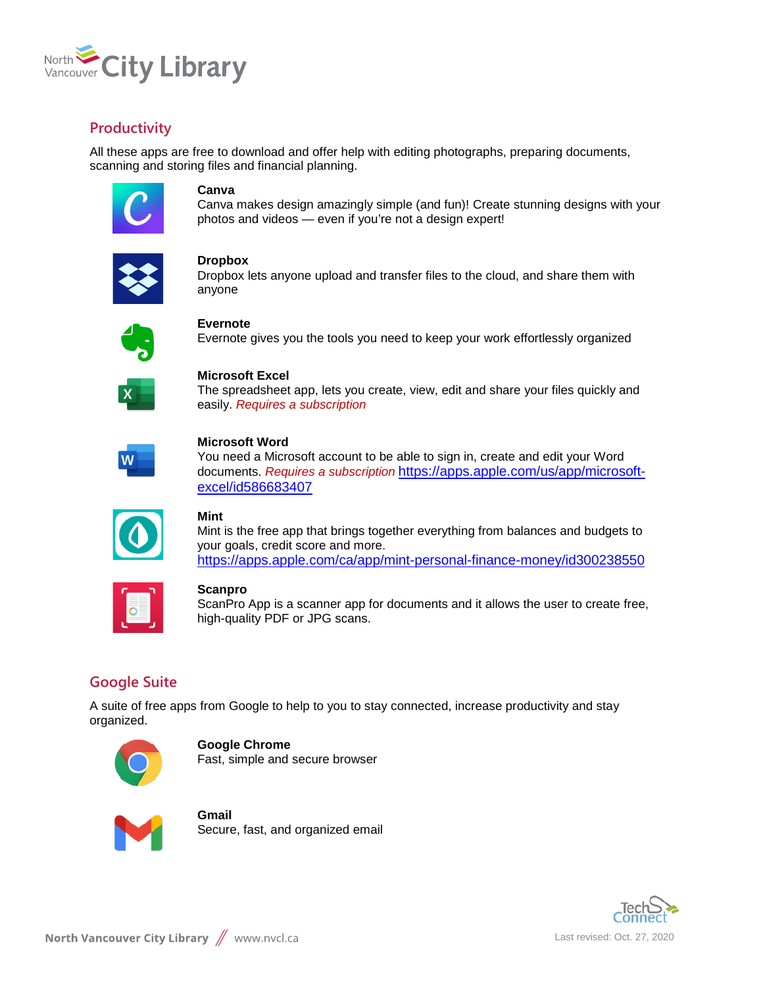

# **Productivity**

All these apps are free to download and offer help with editing photographs, preparing documents, scanning and storing files and financial planning.



### **Canva**

Canva makes design amazingly simple (and fun)! Create stunning designs with your photos and videos — even if you're not a design expert!

#### **Dropbox**

Dropbox lets anyone upload and transfer files to the cloud, and share them with anyone



### **Evernote**

Evernote gives you the tools you need to keep your work effortlessly organized



# **Microsoft Excel**

The spreadsheet app, lets you create, view, edit and share your files quickly and easily. *Requires a subscription*



### **Microsoft Word**

You need a Microsoft account to be able to sign in, create and edit your Word documents. *Requires a subscription* [https://apps.apple.com/us/app/microsoft](https://apps.apple.com/us/app/microsoft-excel/id586683407)[excel/id586683407](https://apps.apple.com/us/app/microsoft-excel/id586683407)

|--|

### **Mint**

Mint is the free app that brings together everything from balances and budgets to your goals, credit score and more. <https://apps.apple.com/ca/app/mint-personal-finance-money/id300238550>

# **Scanpro**

ScanPro App is a scanner app for documents and it allows the user to create free, high-quality PDF or JPG scans.

# **Google Suite**

A suite of free apps from Google to help to you to stay connected, increase productivity and stay organized.



**Google Chrome** Fast, simple and secure browser



**Gmail** Secure, fast, and organized email

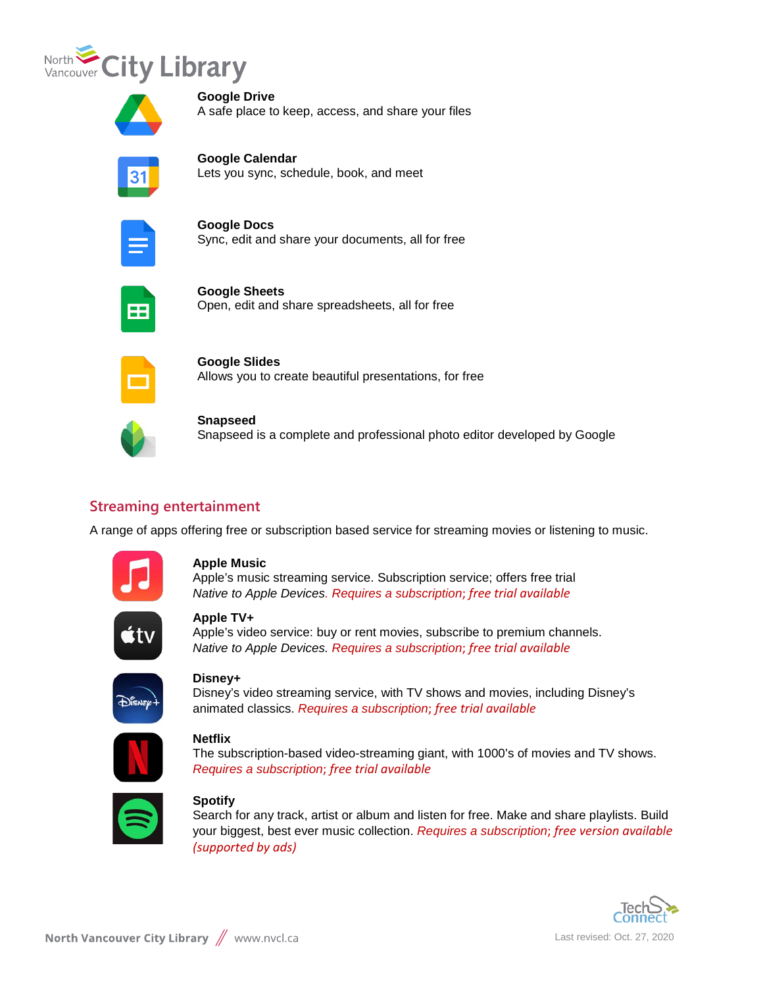



**Google Drive** A safe place to keep, access, and share your files



**Google Calendar** Lets you sync, schedule, book, and meet



**Google Docs** Sync, edit and share your documents, all for free



**Google Sheets** Open, edit and share spreadsheets, all for free



**Google Slides** Allows you to create beautiful presentations, for free



**Snapseed**

Snapseed is a complete and professional photo editor developed by Google

# **Streaming entertainment**

A range of apps offering free or subscription based service for streaming movies or listening to music.



### **Apple Music**

Apple's music streaming service. Subscription service; offers free trial *Native to Apple Devices. Requires a subscription*; *free trial available*



## **Apple TV+**

Apple's video service: buy or rent movies, subscribe to premium channels. *Native to Apple Devices. Requires a subscription*; *free trial available*



## **Disney+**

Disney's video streaming service, with TV shows and movies, including Disney's animated classics. *Requires a subscription*; *free trial available*



### **Netflix**

The subscription-based video-streaming giant, with 1000's of movies and TV shows. *Requires a subscription*; *free trial available*



## **Spotify**

Search for any track, artist or album and listen for free. Make and share playlists. Build your biggest, best ever music collection. *Requires a subscription*; *free version available (supported by ads)*